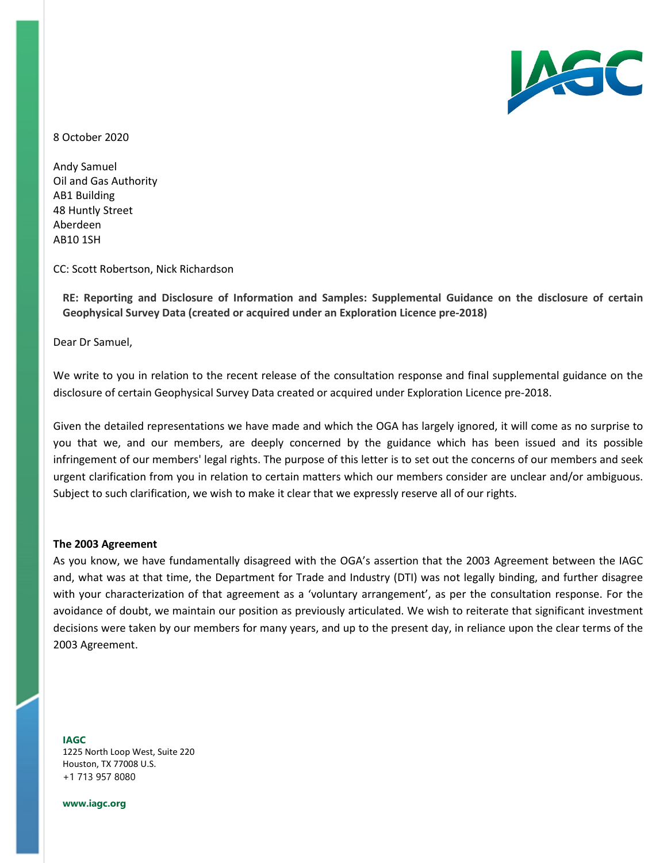

8 October 2020

Andy Samuel Oil and Gas Authority AB1 Building 48 Huntly Street Aberdeen AB10 1SH

CC: Scott Robertson, Nick Richardson

**RE: Reporting and Disclosure of Information and Samples: Supplemental Guidance on the disclosure of certain Geophysical Survey Data (created or acquired under an Exploration Licence pre-2018)**

Dear Dr Samuel,

We write to you in relation to the recent release of the consultation response and final supplemental guidance on the disclosure of certain Geophysical Survey Data created or acquired under Exploration Licence pre-2018.

Given the detailed representations we have made and which the OGA has largely ignored, it will come as no surprise to you that we, and our members, are deeply concerned by the guidance which has been issued and its possible infringement of our members' legal rights. The purpose of this letter is to set out the concerns of our members and seek urgent clarification from you in relation to certain matters which our members consider are unclear and/or ambiguous. Subject to such clarification, we wish to make it clear that we expressly reserve all of our rights.

### **The 2003 Agreement**

As you know, we have fundamentally disagreed with the OGA's assertion that the 2003 Agreement between the IAGC and, what was at that time, the Department for Trade and Industry (DTI) was not legally binding, and further disagree with your characterization of that agreement as a 'voluntary arrangement', as per the consultation response. For the avoidance of doubt, we maintain our position as previously articulated. We wish to reiterate that significant investment decisions were taken by our members for many years, and up to the present day, in reliance upon the clear terms of the 2003 Agreement.

**IAGC** 1225 North Loop West, Suite 220 Houston, TX 77008 U.S. +1 713 957 8080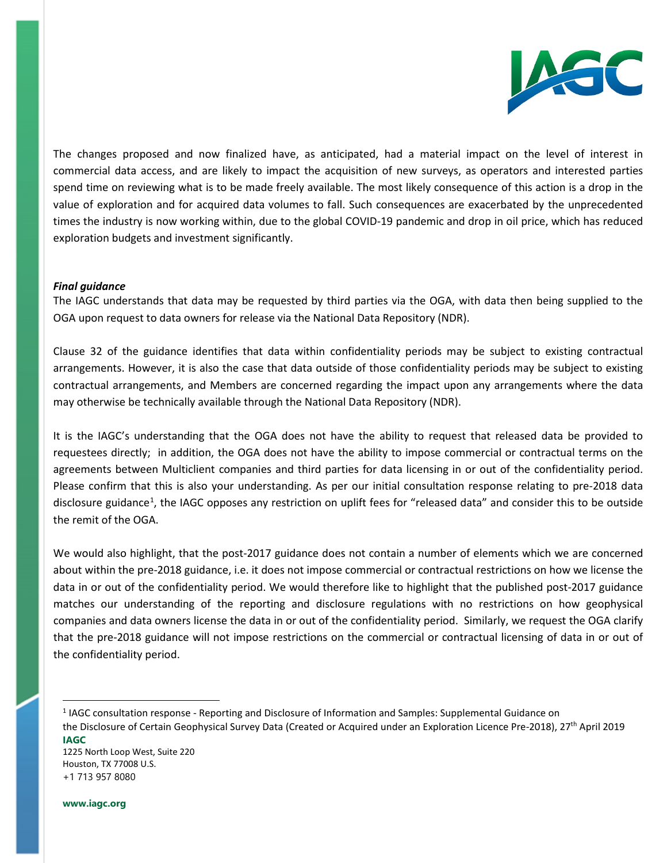

The changes proposed and now finalized have, as anticipated, had a material impact on the level of interest in commercial data access, and are likely to impact the acquisition of new surveys, as operators and interested parties spend time on reviewing what is to be made freely available. The most likely consequence of this action is a drop in the value of exploration and for acquired data volumes to fall. Such consequences are exacerbated by the unprecedented times the industry is now working within, due to the global COVID-19 pandemic and drop in oil price, which has reduced exploration budgets and investment significantly.

# *Final guidance*

The IAGC understands that data may be requested by third parties via the OGA, with data then being supplied to the OGA upon request to data owners for release via the National Data Repository (NDR).

Clause 32 of the guidance identifies that data within confidentiality periods may be subject to existing contractual arrangements. However, it is also the case that data outside of those confidentiality periods may be subject to existing contractual arrangements, and Members are concerned regarding the impact upon any arrangements where the data may otherwise be technically available through the National Data Repository (NDR).

It is the IAGC's understanding that the OGA does not have the ability to request that released data be provided to requestees directly; in addition, the OGA does not have the ability to impose commercial or contractual terms on the agreements between Multiclient companies and third parties for data licensing in or out of the confidentiality period. Please confirm that this is also your understanding. As per our initial consultation response relating to pre-2018 data disclosure guidance<sup>[1](#page-1-0)</sup>, the IAGC opposes any restriction on uplift fees for "released data" and consider this to be outside the remit of the OGA.

We would also highlight, that the post-2017 guidance does not contain a number of elements which we are concerned about within the pre-2018 guidance, i.e. it does not impose commercial or contractual restrictions on how we license the data in or out of the confidentiality period. We would therefore like to highlight that the published post-2017 guidance matches our understanding of the reporting and disclosure regulations with no restrictions on how geophysical companies and data owners license the data in or out of the confidentiality period. Similarly, we request the OGA clarify that the pre-2018 guidance will not impose restrictions on the commercial or contractual licensing of data in or out of the confidentiality period.

1225 North Loop West, Suite 220 Houston, TX 77008 U.S. +1 713 957 8080

<span id="page-1-0"></span>**IAGC** <sup>1</sup> IAGC consultation response - Reporting and Disclosure of Information and Samples: Supplemental Guidance on the Disclosure of Certain Geophysical Survey Data (Created or Acquired under an Exploration Licence Pre-2018), 27th April 2019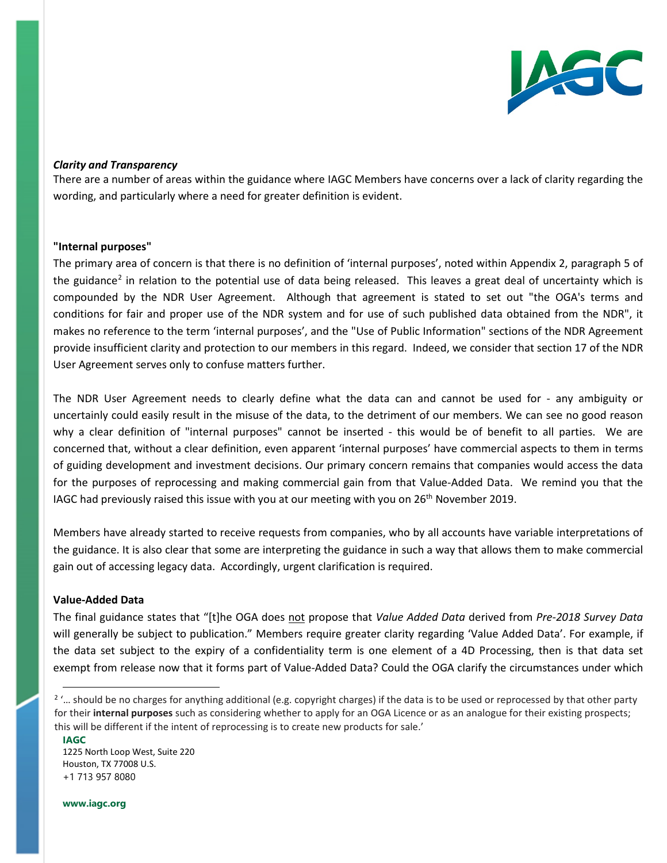

# *Clarity and Transparency*

There are a number of areas within the guidance where IAGC Members have concerns over a lack of clarity regarding the wording, and particularly where a need for greater definition is evident.

### **"Internal purposes"**

The primary area of concern is that there is no definition of 'internal purposes', noted within Appendix 2, paragraph 5 of the guidance<sup>[2](#page-2-0)</sup> in relation to the potential use of data being released. This leaves a great deal of uncertainty which is compounded by the NDR User Agreement. Although that agreement is stated to set out "the OGA's terms and conditions for fair and proper use of the NDR system and for use of such published data obtained from the NDR", it makes no reference to the term 'internal purposes', and the "Use of Public Information" sections of the NDR Agreement provide insufficient clarity and protection to our members in this regard. Indeed, we consider that section 17 of the NDR User Agreement serves only to confuse matters further.

The NDR User Agreement needs to clearly define what the data can and cannot be used for - any ambiguity or uncertainly could easily result in the misuse of the data, to the detriment of our members. We can see no good reason why a clear definition of "internal purposes" cannot be inserted - this would be of benefit to all parties. We are concerned that, without a clear definition, even apparent 'internal purposes' have commercial aspects to them in terms of guiding development and investment decisions. Our primary concern remains that companies would access the data for the purposes of reprocessing and making commercial gain from that Value-Added Data. We remind you that the IAGC had previously raised this issue with you at our meeting with you on  $26<sup>th</sup>$  November 2019.

Members have already started to receive requests from companies, who by all accounts have variable interpretations of the guidance. It is also clear that some are interpreting the guidance in such a way that allows them to make commercial gain out of accessing legacy data. Accordingly, urgent clarification is required.

# **Value-Added Data**

The final guidance states that "[t]he OGA does not propose that *Value Added Data* derived from *Pre-2018 Survey Data* will generally be subject to publication." Members require greater clarity regarding 'Value Added Data'. For example, if the data set subject to the expiry of a confidentiality term is one element of a 4D Processing, then is that data set exempt from release now that it forms part of Value-Added Data? Could the OGA clarify the circumstances under which

**www.iagc.org**

**IAGC**

<span id="page-2-0"></span><sup>&</sup>lt;sup>2</sup> '... should be no charges for anything additional (e.g. copyright charges) if the data is to be used or reprocessed by that other party for their **internal purposes** such as considering whether to apply for an OGA Licence or as an analogue for their existing prospects; this will be different if the intent of reprocessing is to create new products for sale.'

<sup>1225</sup> North Loop West, Suite 220 Houston, TX 77008 U.S. +1 713 957 8080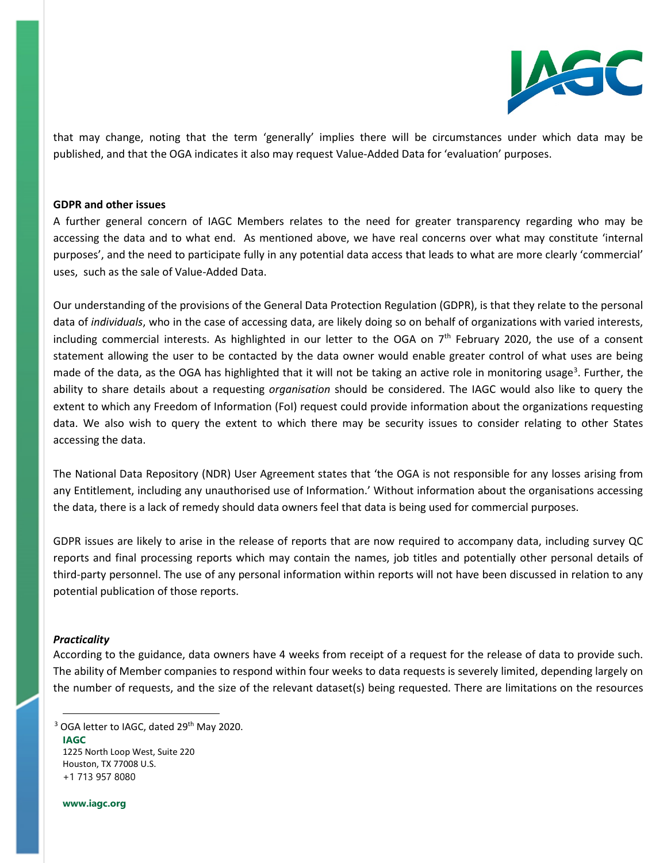

that may change, noting that the term 'generally' implies there will be circumstances under which data may be published, and that the OGA indicates it also may request Value-Added Data for 'evaluation' purposes.

## **GDPR and other issues**

A further general concern of IAGC Members relates to the need for greater transparency regarding who may be accessing the data and to what end. As mentioned above, we have real concerns over what may constitute 'internal purposes', and the need to participate fully in any potential data access that leads to what are more clearly 'commercial' uses, such as the sale of Value-Added Data.

Our understanding of the provisions of the General Data Protection Regulation (GDPR), is that they relate to the personal data of *individuals*, who in the case of accessing data, are likely doing so on behalf of organizations with varied interests, including commercial interests. As highlighted in our letter to the OGA on  $7<sup>th</sup>$  February 2020, the use of a consent statement allowing the user to be contacted by the data owner would enable greater control of what uses are being made of the data, as the OGA has highlighted that it will not be taking an active role in monitoring usage<sup>[3](#page-3-0)</sup>. Further, the ability to share details about a requesting *organisation* should be considered. The IAGC would also like to query the extent to which any Freedom of Information (FoI) request could provide information about the organizations requesting data. We also wish to query the extent to which there may be security issues to consider relating to other States accessing the data.

The National Data Repository (NDR) User Agreement states that 'the OGA is not responsible for any losses arising from any Entitlement, including any unauthorised use of Information.' Without information about the organisations accessing the data, there is a lack of remedy should data owners feel that data is being used for commercial purposes.

GDPR issues are likely to arise in the release of reports that are now required to accompany data, including survey QC reports and final processing reports which may contain the names, job titles and potentially other personal details of third-party personnel. The use of any personal information within reports will not have been discussed in relation to any potential publication of those reports.

### *Practicality*

According to the guidance, data owners have 4 weeks from receipt of a request for the release of data to provide such. The ability of Member companies to respond within four weeks to data requests is severely limited, depending largely on the number of requests, and the size of the relevant dataset(s) being requested. There are limitations on the resources

<span id="page-3-0"></span>**IAGC** 1225 North Loop West, Suite 220 Houston, TX 77008 U.S. +1 713 957 8080 <sup>3</sup> OGA letter to IAGC, dated 29<sup>th</sup> May 2020.